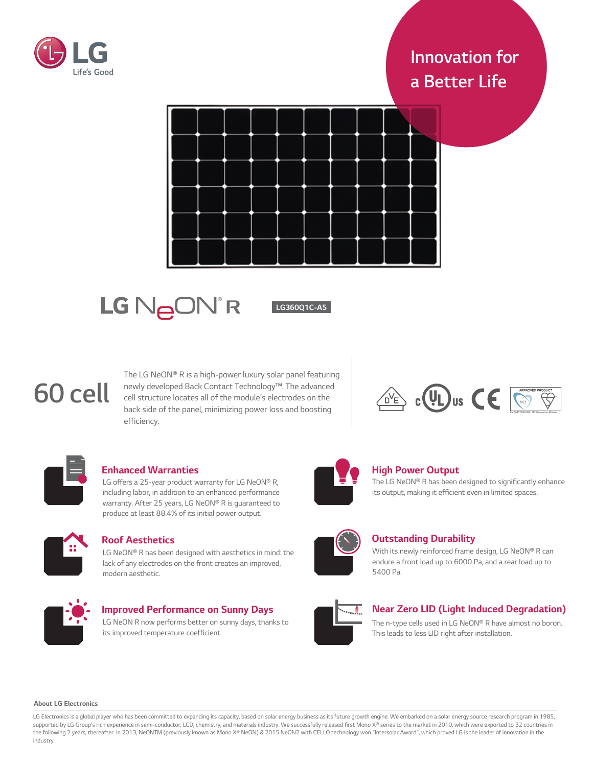

# *Innovation for a Better Life*



# LG NeON<sup>®</sup>R

*LG360Q1C-A5*

# *60 cell*

*The LG NeON® R is a high-power luxury solar panel featuring newly developed Back Contact Technology™. The advanced cell structure locates all of the module's electrodes on the*  back side of the panel, minimizing power loss and boosting efficiency.





# **Enhanced Warranties**

LG offers a 25-year product warranty for LG NeON® R, including labor, in addition to an enhanced performance warranty. After 25 years, LG NeON® R is guaranteed to produce at least 88.4% of its initial power output.



# **Roof Aesthetics**

LG NeON® R has been designed with aesthetics in mind: the lack of any electrodes on the front creates an improved, modern aesthetic.



# **Improved Performance on Sunny Days**

LG NeON R now performs better on sunny days, thanks to its improved temperature coefficient.



# *High Power Output*

The LG NeON® R has been designed to significantly enhance its output, making it efficient even in limited *spaces.*

# *Outstanding Durability*

*With its newly reinforced frame design, LG NeON® R can endure a front load up to 6000 Pa, and a rear load up to 5400 Pa.*



# *Near Zero LID (Light Induced Degradation)*

*The n-type cells used in LG NeON® R have almost no boron. This leads to less LID right after installation.*

#### *About LG Electronics*

LG Electronics is a global player who has been committed to expanding its capacity, based on solar energy business as its future growth engine. We embarked on a solar energy source research program in 1985, supported by LG Group's rich experience in semi-conductor, LCD, chemistry, and materials industry. We successfully released first Mono X® series to the market in 2010, which were exported to 32 countries in *the following 2 years, thereafter. In 2013, NeONTM (previously known as Mono X® NeON) & 2015 NeON2 with CELLO technology won "Intersolar Award", which proved LG is the leader of innovation in the industry.*